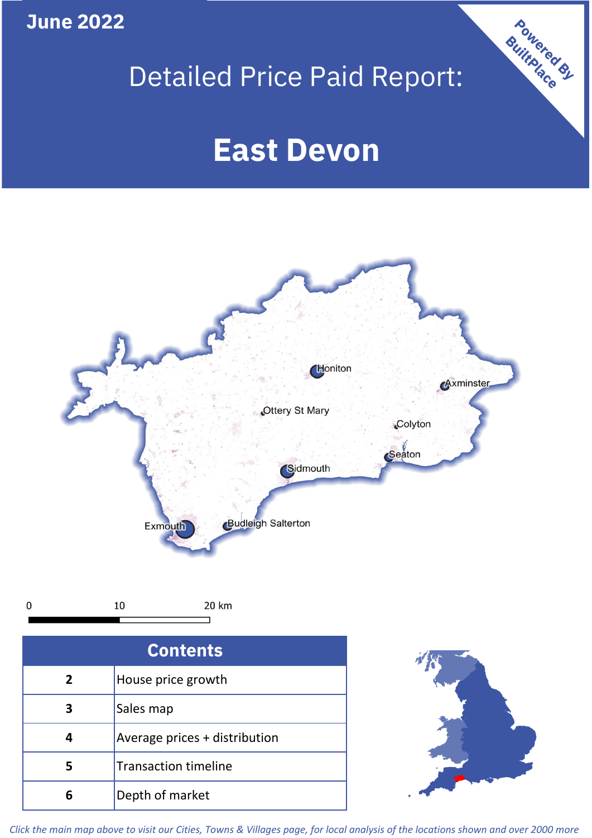**June 2022**

 $\mathbf 0$ 

# Detailed Price Paid Report:

# **East Devon**



| <b>Contents</b> |                               |  |  |
|-----------------|-------------------------------|--|--|
| $\mathbf{2}$    | House price growth            |  |  |
| 3               | Sales map                     |  |  |
|                 | Average prices + distribution |  |  |
|                 | <b>Transaction timeline</b>   |  |  |
|                 | Depth of market               |  |  |



Powered By

*Click the main map above to visit our Cities, Towns & Villages page, for local analysis of the locations shown and over 2000 more*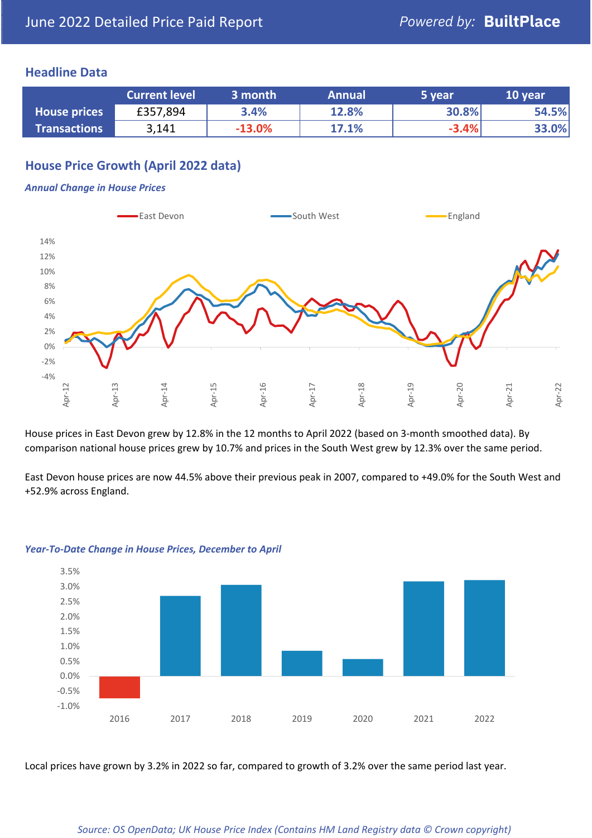#### **Headline Data**

|                     | <b>Current level</b> | 3 month  | <b>Annual</b> | 5 year  | 10 year |
|---------------------|----------------------|----------|---------------|---------|---------|
| <b>House prices</b> | £357,894             | 3.4%     | 12.8%         | 30.8%   | 54.5%   |
| <b>Transactions</b> | 3,141                | $-13.0%$ | 17.1%         | $-3.4%$ | 33.0%   |

# **House Price Growth (April 2022 data)**

#### *Annual Change in House Prices*



House prices in East Devon grew by 12.8% in the 12 months to April 2022 (based on 3-month smoothed data). By comparison national house prices grew by 10.7% and prices in the South West grew by 12.3% over the same period.

East Devon house prices are now 44.5% above their previous peak in 2007, compared to +49.0% for the South West and +52.9% across England.



#### *Year-To-Date Change in House Prices, December to April*

Local prices have grown by 3.2% in 2022 so far, compared to growth of 3.2% over the same period last year.

#### *Source: OS OpenData; UK House Price Index (Contains HM Land Registry data © Crown copyright)*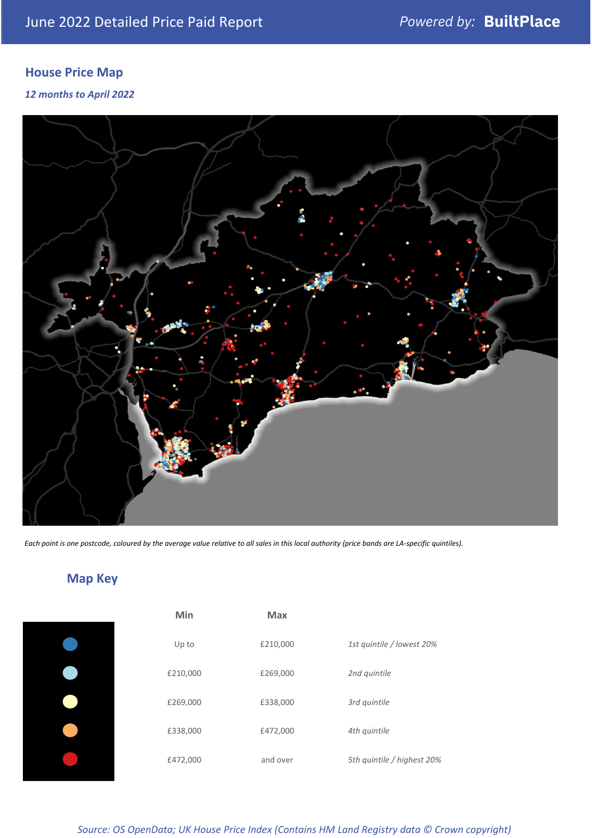# **House Price Map**

#### *12 months to April 2022*



*Each point is one postcode, coloured by the average value relative to all sales in this local authority (price bands are LA-specific quintiles).*

**Map Key**

| Min      | <b>Max</b> |                            |
|----------|------------|----------------------------|
| Up to    | £210,000   | 1st quintile / lowest 20%  |
| £210,000 | £269,000   | 2nd quintile               |
| £269,000 | £338,000   | 3rd quintile               |
| £338,000 | £472,000   | 4th quintile               |
| £472,000 | and over   | 5th quintile / highest 20% |

#### *Source: OS OpenData; UK House Price Index (Contains HM Land Registry data © Crown copyright)*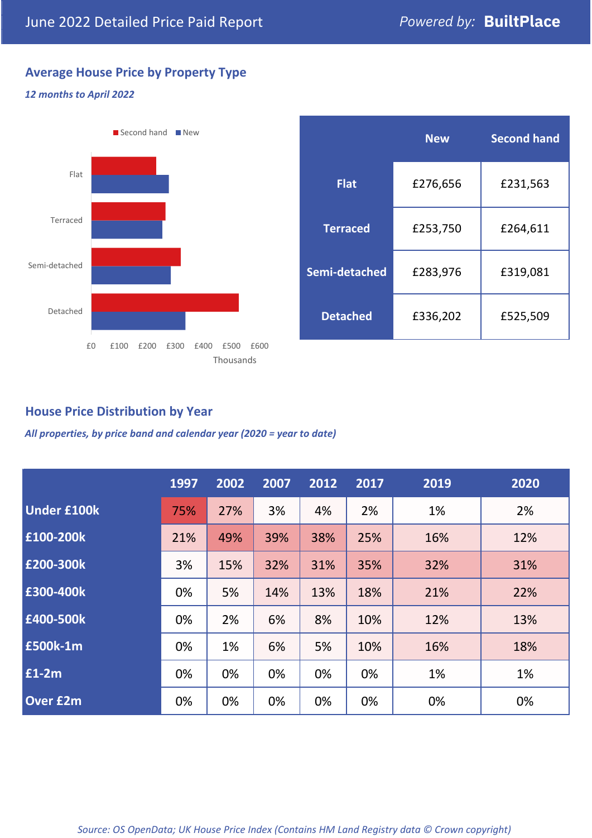# **Average House Price by Property Type**

#### *12 months to April 2022*



|                 | <b>New</b> | <b>Second hand</b> |  |  |
|-----------------|------------|--------------------|--|--|
| <b>Flat</b>     | £276,656   | £231,563           |  |  |
| <b>Terraced</b> | £253,750   | £264,611           |  |  |
| Semi-detached   | £283,976   | £319,081           |  |  |
| <b>Detached</b> | £336,202   | £525,509           |  |  |

## **House Price Distribution by Year**

*All properties, by price band and calendar year (2020 = year to date)*

|                    | 1997 | 2002 | 2007 | 2012 | 2017 | 2019 | 2020 |
|--------------------|------|------|------|------|------|------|------|
| <b>Under £100k</b> | 75%  | 27%  | 3%   | 4%   | 2%   | 1%   | 2%   |
| £100-200k          | 21%  | 49%  | 39%  | 38%  | 25%  | 16%  | 12%  |
| E200-300k          | 3%   | 15%  | 32%  | 31%  | 35%  | 32%  | 31%  |
| £300-400k          | 0%   | 5%   | 14%  | 13%  | 18%  | 21%  | 22%  |
| £400-500k          | 0%   | 2%   | 6%   | 8%   | 10%  | 12%  | 13%  |
| <b>£500k-1m</b>    | 0%   | 1%   | 6%   | 5%   | 10%  | 16%  | 18%  |
| £1-2m              | 0%   | 0%   | 0%   | 0%   | 0%   | 1%   | 1%   |
| <b>Over £2m</b>    | 0%   | 0%   | 0%   | 0%   | 0%   | 0%   | 0%   |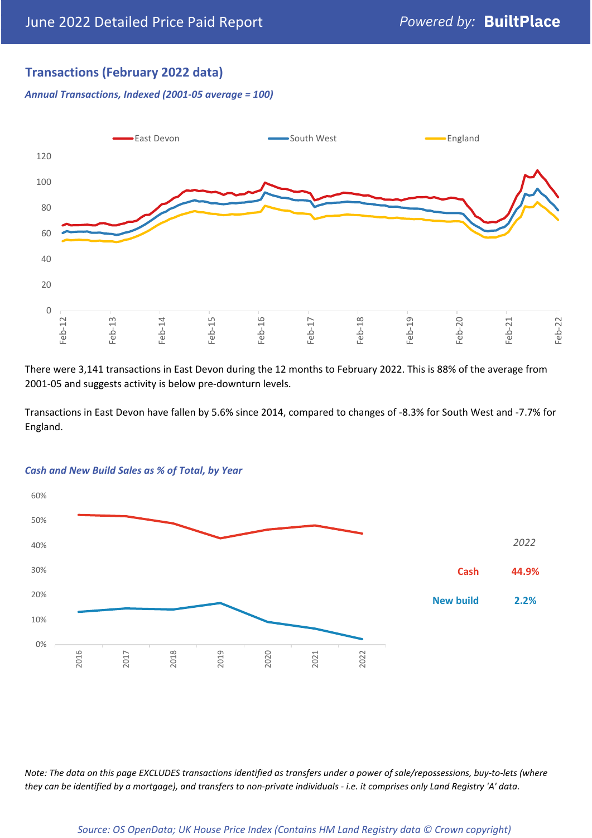# **Transactions (February 2022 data)**

*Annual Transactions, Indexed (2001-05 average = 100)*



There were 3,141 transactions in East Devon during the 12 months to February 2022. This is 88% of the average from 2001-05 and suggests activity is below pre-downturn levels.

Transactions in East Devon have fallen by 5.6% since 2014, compared to changes of -8.3% for South West and -7.7% for England.



#### *Cash and New Build Sales as % of Total, by Year*

*Note: The data on this page EXCLUDES transactions identified as transfers under a power of sale/repossessions, buy-to-lets (where they can be identified by a mortgage), and transfers to non-private individuals - i.e. it comprises only Land Registry 'A' data.*